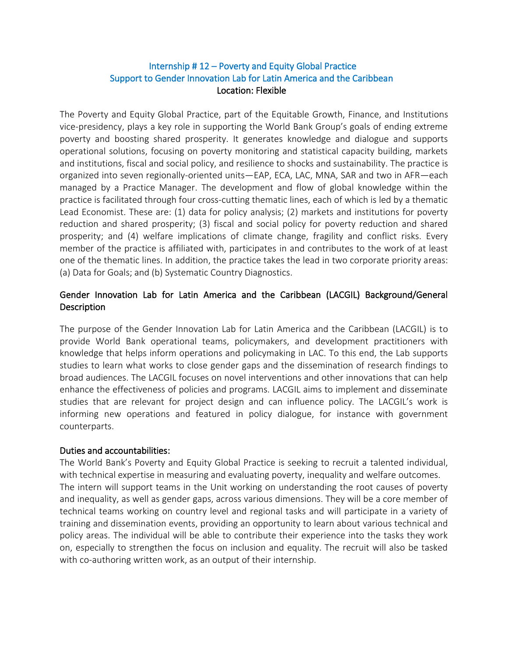# Internship # 12 – Poverty and Equity Global Practice Support to Gender Innovation Lab for Latin America and the Caribbean Location: Flexible

The Poverty and Equity Global Practice, part of the Equitable Growth, Finance, and Institutions vice-presidency, plays a key role in supporting the World Bank Group's goals of ending extreme poverty and boosting shared prosperity. It generates knowledge and dialogue and supports operational solutions, focusing on poverty monitoring and statistical capacity building, markets and institutions, fiscal and social policy, and resilience to shocks and sustainability. The practice is organized into seven regionally-oriented units—EAP, ECA, LAC, MNA, SAR and two in AFR—each managed by a Practice Manager. The development and flow of global knowledge within the practice is facilitated through four cross-cutting thematic lines, each of which is led by a thematic Lead Economist. These are: (1) data for policy analysis; (2) markets and institutions for poverty reduction and shared prosperity; (3) fiscal and social policy for poverty reduction and shared prosperity; and (4) welfare implications of climate change, fragility and conflict risks. Every member of the practice is affiliated with, participates in and contributes to the work of at least one of the thematic lines. In addition, the practice takes the lead in two corporate priority areas: (a) Data for Goals; and (b) Systematic Country Diagnostics.

# Gender Innovation Lab for Latin America and the Caribbean (LACGIL) Background/General **Description**

The purpose of the Gender Innovation Lab for Latin America and the Caribbean (LACGIL) is to provide World Bank operational teams, policymakers, and development practitioners with knowledge that helps inform operations and policymaking in LAC. To this end, the Lab supports studies to learn what works to close gender gaps and the dissemination of research findings to broad audiences. The LACGIL focuses on novel interventions and other innovations that can help enhance the effectiveness of policies and programs. LACGIL aims to implement and disseminate studies that are relevant for project design and can influence policy. The LACGIL's work is informing new operations and featured in policy dialogue, for instance with government counterparts.

#### Duties and accountabilities:

The World Bank's Poverty and Equity Global Practice is seeking to recruit a talented individual, with technical expertise in measuring and evaluating poverty, inequality and welfare outcomes. The intern will support teams in the Unit working on understanding the root causes of poverty and inequality, as well as gender gaps, across various dimensions. They will be a core member of technical teams working on country level and regional tasks and will participate in a variety of training and dissemination events, providing an opportunity to learn about various technical and policy areas. The individual will be able to contribute their experience into the tasks they work on, especially to strengthen the focus on inclusion and equality. The recruit will also be tasked with co-authoring written work, as an output of their internship.